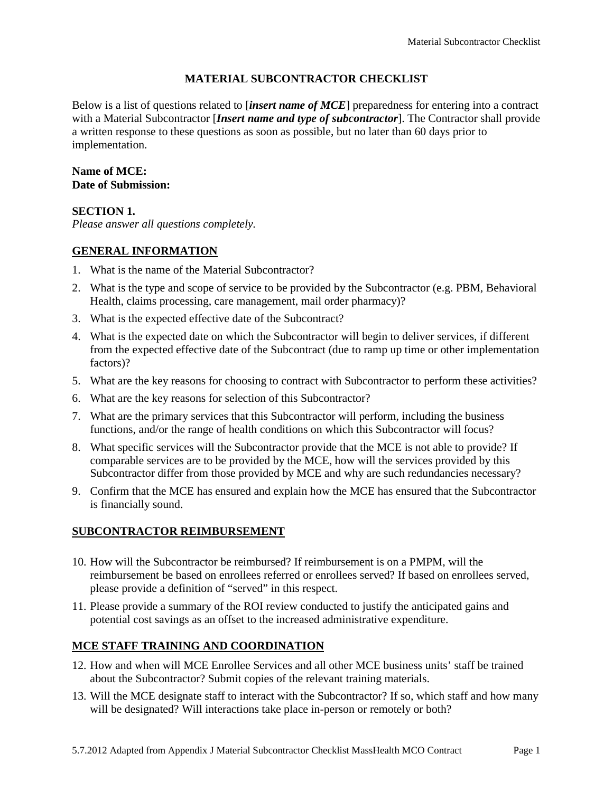### **MATERIAL SUBCONTRACTOR CHECKLIST**

Below is a list of questions related to [*insert name of MCE*] preparedness for entering into a contract with a Material Subcontractor [*Insert name and type of subcontractor*]. The Contractor shall provide a written response to these questions as soon as possible, but no later than 60 days prior to implementation.

#### **Name of MCE: Date of Submission:**

### **SECTION 1.**

*Please answer all questions completely.* 

### **GENERAL INFORMATION**

- 1. What is the name of the Material Subcontractor?
- 2. What is the type and scope of service to be provided by the Subcontractor (e.g. PBM, Behavioral Health, claims processing, care management, mail order pharmacy)?
- 3. What is the expected effective date of the Subcontract?
- 4. What is the expected date on which the Subcontractor will begin to deliver services, if different from the expected effective date of the Subcontract (due to ramp up time or other implementation factors)?
- 5. What are the key reasons for choosing to contract with Subcontractor to perform these activities?
- 6. What are the key reasons for selection of this Subcontractor?
- 7. What are the primary services that this Subcontractor will perform, including the business functions, and/or the range of health conditions on which this Subcontractor will focus?
- 8. What specific services will the Subcontractor provide that the MCE is not able to provide? If comparable services are to be provided by the MCE, how will the services provided by this Subcontractor differ from those provided by MCE and why are such redundancies necessary?
- 9. Confirm that the MCE has ensured and explain how the MCE has ensured that the Subcontractor is financially sound.

## **SUBCONTRACTOR REIMBURSEMENT**

- 10. How will the Subcontractor be reimbursed? If reimbursement is on a PMPM, will the reimbursement be based on enrollees referred or enrollees served? If based on enrollees served, please provide a definition of "served" in this respect.
- 11. Please provide a summary of the ROI review conducted to justify the anticipated gains and potential cost savings as an offset to the increased administrative expenditure.

## **MCE STAFF TRAINING AND COORDINATION**

- 12. How and when will MCE Enrollee Services and all other MCE business units' staff be trained about the Subcontractor? Submit copies of the relevant training materials.
- 13. Will the MCE designate staff to interact with the Subcontractor? If so, which staff and how many will be designated? Will interactions take place in-person or remotely or both?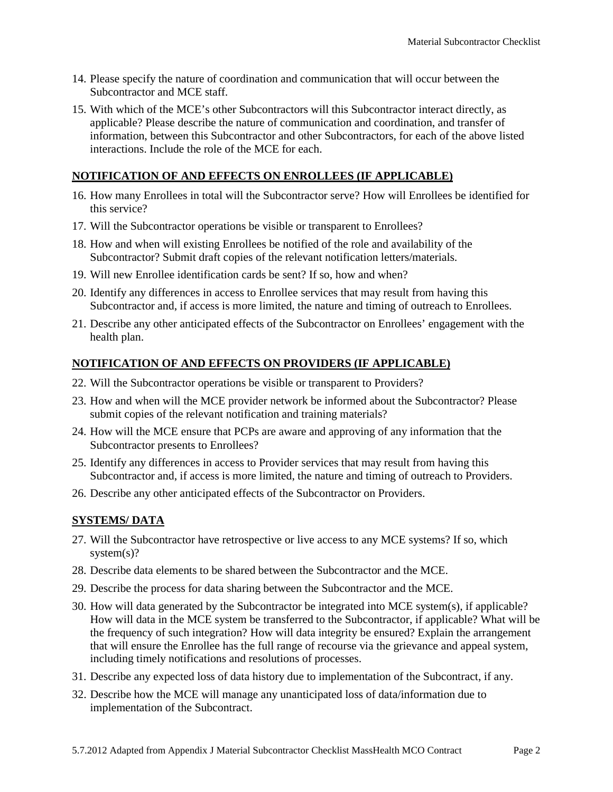- 14. Please specify the nature of coordination and communication that will occur between the Subcontractor and MCE staff.
- 15. With which of the MCE's other Subcontractors will this Subcontractor interact directly, as applicable? Please describe the nature of communication and coordination, and transfer of information, between this Subcontractor and other Subcontractors, for each of the above listed interactions. Include the role of the MCE for each.

## **NOTIFICATION OF AND EFFECTS ON ENROLLEES (IF APPLICABLE)**

- 16. How many Enrollees in total will the Subcontractor serve? How will Enrollees be identified for this service?
- 17. Will the Subcontractor operations be visible or transparent to Enrollees?
- 18. How and when will existing Enrollees be notified of the role and availability of the Subcontractor? Submit draft copies of the relevant notification letters/materials.
- 19. Will new Enrollee identification cards be sent? If so, how and when?
- 20. Identify any differences in access to Enrollee services that may result from having this Subcontractor and, if access is more limited, the nature and timing of outreach to Enrollees.
- 21. Describe any other anticipated effects of the Subcontractor on Enrollees' engagement with the health plan.

## **NOTIFICATION OF AND EFFECTS ON PROVIDERS (IF APPLICABLE)**

- 22. Will the Subcontractor operations be visible or transparent to Providers?
- 23. How and when will the MCE provider network be informed about the Subcontractor? Please submit copies of the relevant notification and training materials?
- 24. How will the MCE ensure that PCPs are aware and approving of any information that the Subcontractor presents to Enrollees?
- 25. Identify any differences in access to Provider services that may result from having this Subcontractor and, if access is more limited, the nature and timing of outreach to Providers.
- 26. Describe any other anticipated effects of the Subcontractor on Providers.

## **SYSTEMS/ DATA**

- 27. Will the Subcontractor have retrospective or live access to any MCE systems? If so, which system(s)?
- 28. Describe data elements to be shared between the Subcontractor and the MCE.
- 29. Describe the process for data sharing between the Subcontractor and the MCE.
- 30. How will data generated by the Subcontractor be integrated into MCE system(s), if applicable? How will data in the MCE system be transferred to the Subcontractor, if applicable? What will be the frequency of such integration? How will data integrity be ensured? Explain the arrangement that will ensure the Enrollee has the full range of recourse via the grievance and appeal system, including timely notifications and resolutions of processes.
- 31. Describe any expected loss of data history due to implementation of the Subcontract, if any.
- 32. Describe how the MCE will manage any unanticipated loss of data/information due to implementation of the Subcontract.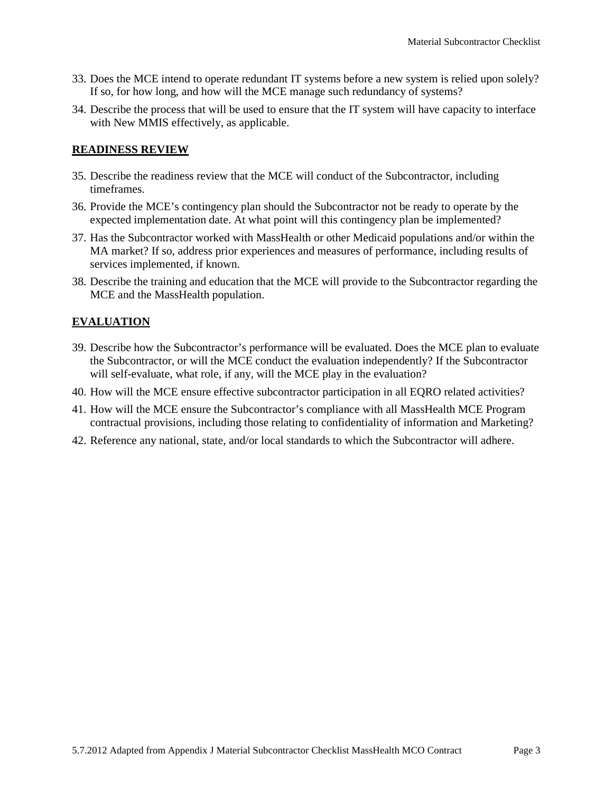- 33. Does the MCE intend to operate redundant IT systems before a new system is relied upon solely? If so, for how long, and how will the MCE manage such redundancy of systems?
- 34. Describe the process that will be used to ensure that the IT system will have capacity to interface with New MMIS effectively, as applicable.

### **READINESS REVIEW**

- 35. Describe the readiness review that the MCE will conduct of the Subcontractor, including timeframes.
- 36. Provide the MCE's contingency plan should the Subcontractor not be ready to operate by the expected implementation date. At what point will this contingency plan be implemented?
- 37. Has the Subcontractor worked with MassHealth or other Medicaid populations and/or within the MA market? If so, address prior experiences and measures of performance, including results of services implemented, if known.
- 38. Describe the training and education that the MCE will provide to the Subcontractor regarding the MCE and the MassHealth population.

# **EVALUATION**

- 39. Describe how the Subcontractor's performance will be evaluated. Does the MCE plan to evaluate the Subcontractor, or will the MCE conduct the evaluation independently? If the Subcontractor will self-evaluate, what role, if any, will the MCE play in the evaluation?
- 40. How will the MCE ensure effective subcontractor participation in all EQRO related activities?
- 41. How will the MCE ensure the Subcontractor's compliance with all MassHealth MCE Program contractual provisions, including those relating to confidentiality of information and Marketing?
- 42. Reference any national, state, and/or local standards to which the Subcontractor will adhere.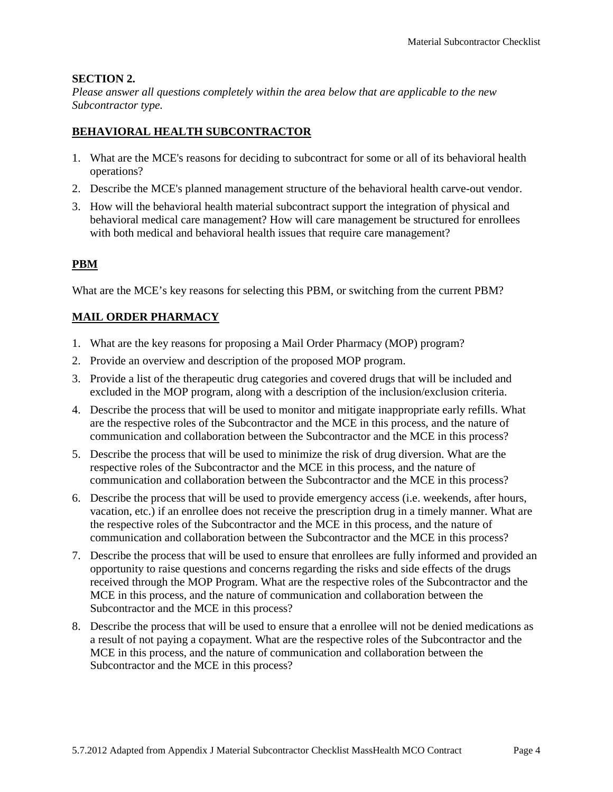### **SECTION 2.**

*Please answer all questions completely within the area below that are applicable to the new Subcontractor type.*

## **BEHAVIORAL HEALTH SUBCONTRACTOR**

- 1. What are the MCE's reasons for deciding to subcontract for some or all of its behavioral health operations?
- 2. Describe the MCE's planned management structure of the behavioral health carve-out vendor.
- 3. How will the behavioral health material subcontract support the integration of physical and behavioral medical care management? How will care management be structured for enrollees with both medical and behavioral health issues that require care management?

## **PBM**

What are the MCE's key reasons for selecting this PBM, or switching from the current PBM?

## **MAIL ORDER PHARMACY**

- 1. What are the key reasons for proposing a Mail Order Pharmacy (MOP) program?
- 2. Provide an overview and description of the proposed MOP program.
- 3. Provide a list of the therapeutic drug categories and covered drugs that will be included and excluded in the MOP program, along with a description of the inclusion/exclusion criteria.
- 4. Describe the process that will be used to monitor and mitigate inappropriate early refills. What are the respective roles of the Subcontractor and the MCE in this process, and the nature of communication and collaboration between the Subcontractor and the MCE in this process?
- 5. Describe the process that will be used to minimize the risk of drug diversion. What are the respective roles of the Subcontractor and the MCE in this process, and the nature of communication and collaboration between the Subcontractor and the MCE in this process?
- 6. Describe the process that will be used to provide emergency access (i.e. weekends, after hours, vacation, etc.) if an enrollee does not receive the prescription drug in a timely manner. What are the respective roles of the Subcontractor and the MCE in this process, and the nature of communication and collaboration between the Subcontractor and the MCE in this process?
- 7. Describe the process that will be used to ensure that enrollees are fully informed and provided an opportunity to raise questions and concerns regarding the risks and side effects of the drugs received through the MOP Program. What are the respective roles of the Subcontractor and the MCE in this process, and the nature of communication and collaboration between the Subcontractor and the MCE in this process?
- 8. Describe the process that will be used to ensure that a enrollee will not be denied medications as a result of not paying a copayment. What are the respective roles of the Subcontractor and the MCE in this process, and the nature of communication and collaboration between the Subcontractor and the MCE in this process?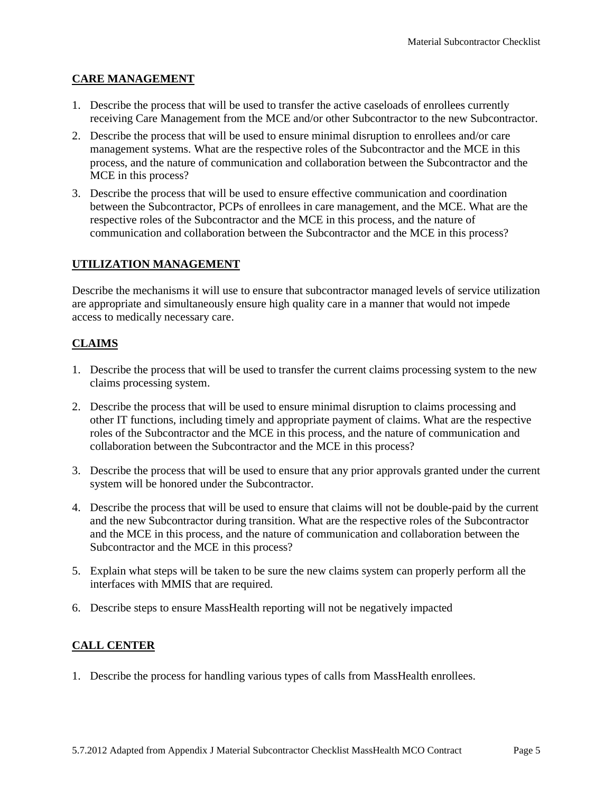### **CARE MANAGEMENT**

- 1. Describe the process that will be used to transfer the active caseloads of enrollees currently receiving Care Management from the MCE and/or other Subcontractor to the new Subcontractor.
- 2. Describe the process that will be used to ensure minimal disruption to enrollees and/or care management systems. What are the respective roles of the Subcontractor and the MCE in this process, and the nature of communication and collaboration between the Subcontractor and the MCE in this process?
- 3. Describe the process that will be used to ensure effective communication and coordination between the Subcontractor, PCPs of enrollees in care management, and the MCE. What are the respective roles of the Subcontractor and the MCE in this process, and the nature of communication and collaboration between the Subcontractor and the MCE in this process?

## **UTILIZATION MANAGEMENT**

Describe the mechanisms it will use to ensure that subcontractor managed levels of service utilization are appropriate and simultaneously ensure high quality care in a manner that would not impede access to medically necessary care.

## **CLAIMS**

- 1. Describe the process that will be used to transfer the current claims processing system to the new claims processing system.
- 2. Describe the process that will be used to ensure minimal disruption to claims processing and other IT functions, including timely and appropriate payment of claims. What are the respective roles of the Subcontractor and the MCE in this process, and the nature of communication and collaboration between the Subcontractor and the MCE in this process?
- 3. Describe the process that will be used to ensure that any prior approvals granted under the current system will be honored under the Subcontractor.
- 4. Describe the process that will be used to ensure that claims will not be double-paid by the current and the new Subcontractor during transition. What are the respective roles of the Subcontractor and the MCE in this process, and the nature of communication and collaboration between the Subcontractor and the MCE in this process?
- 5. Explain what steps will be taken to be sure the new claims system can properly perform all the interfaces with MMIS that are required.
- 6. Describe steps to ensure MassHealth reporting will not be negatively impacted

## **CALL CENTER**

1. Describe the process for handling various types of calls from MassHealth enrollees.